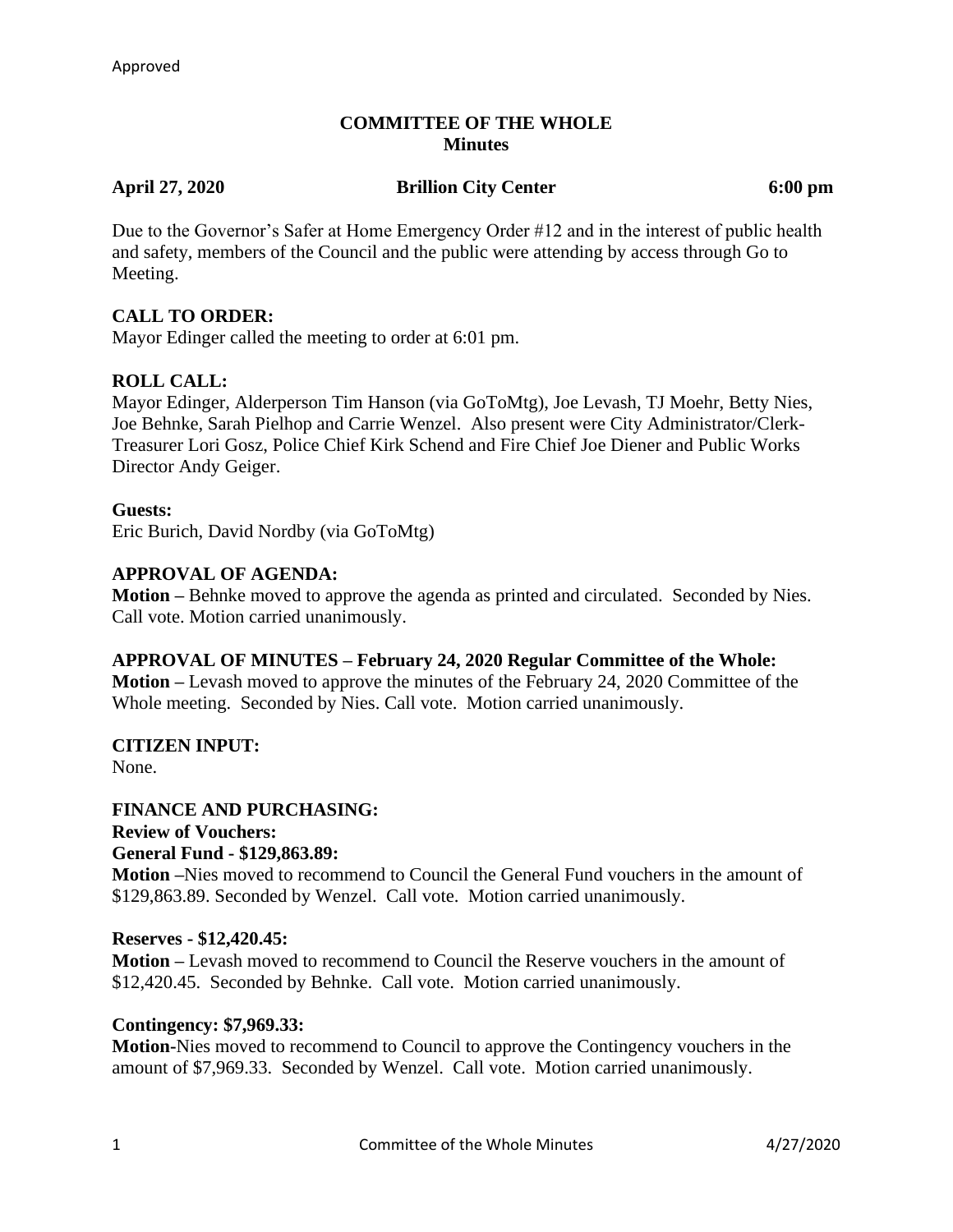## **COMMITTEE OF THE WHOLE Minutes**

**April 27, 2020 Brillion City Center 6:00 pm**

Due to the Governor's Safer at Home Emergency Order #12 and in the interest of public health and safety, members of the Council and the public were attending by access through Go to Meeting.

## **CALL TO ORDER:**

Mayor Edinger called the meeting to order at 6:01 pm.

## **ROLL CALL:**

Mayor Edinger, Alderperson Tim Hanson (via GoToMtg), Joe Levash, TJ Moehr, Betty Nies, Joe Behnke, Sarah Pielhop and Carrie Wenzel. Also present were City Administrator/Clerk-Treasurer Lori Gosz, Police Chief Kirk Schend and Fire Chief Joe Diener and Public Works Director Andy Geiger.

#### **Guests:**

Eric Burich, David Nordby (via GoToMtg)

#### **APPROVAL OF AGENDA:**

**Motion –** Behnke moved to approve the agenda as printed and circulated. Seconded by Nies. Call vote. Motion carried unanimously.

#### **APPROVAL OF MINUTES – February 24, 2020 Regular Committee of the Whole:**

**Motion –** Levash moved to approve the minutes of the February 24, 2020 Committee of the Whole meeting. Seconded by Nies. Call vote. Motion carried unanimously.

# **CITIZEN INPUT:**

None.

#### **FINANCE AND PURCHASING:**

**Review of Vouchers: General Fund - \$129,863.89:**

**Motion –**Nies moved to recommend to Council the General Fund vouchers in the amount of \$129,863.89. Seconded by Wenzel. Call vote. Motion carried unanimously.

## **Reserves - \$12,420.45:**

**Motion –** Levash moved to recommend to Council the Reserve vouchers in the amount of \$12,420.45. Seconded by Behnke. Call vote. Motion carried unanimously.

## **Contingency: \$7,969.33:**

**Motion-**Nies moved to recommend to Council to approve the Contingency vouchers in the amount of \$7,969.33. Seconded by Wenzel. Call vote. Motion carried unanimously.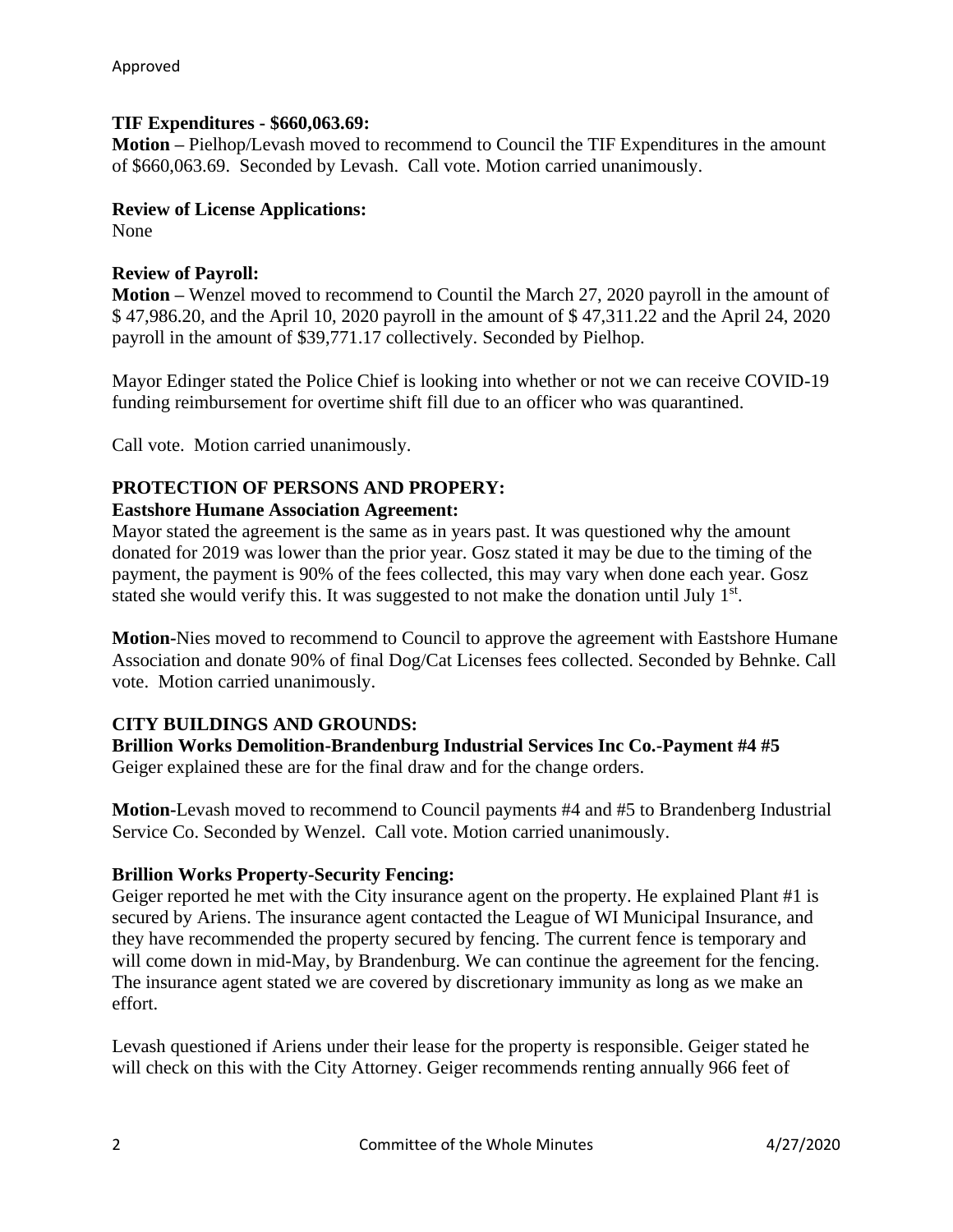#### **TIF Expenditures - \$660,063.69:**

**Motion –** Pielhop/Levash moved to recommend to Council the TIF Expenditures in the amount of \$660,063.69. Seconded by Levash. Call vote. Motion carried unanimously.

#### **Review of License Applications:**

None

## **Review of Payroll:**

**Motion –** Wenzel moved to recommend to Countil the March 27, 2020 payroll in the amount of \$ 47,986.20, and the April 10, 2020 payroll in the amount of \$ 47,311.22 and the April 24, 2020 payroll in the amount of \$39,771.17 collectively. Seconded by Pielhop.

Mayor Edinger stated the Police Chief is looking into whether or not we can receive COVID-19 funding reimbursement for overtime shift fill due to an officer who was quarantined.

Call vote. Motion carried unanimously.

## **PROTECTION OF PERSONS AND PROPERY:**

## **Eastshore Humane Association Agreement:**

Mayor stated the agreement is the same as in years past. It was questioned why the amount donated for 2019 was lower than the prior year. Gosz stated it may be due to the timing of the payment, the payment is 90% of the fees collected, this may vary when done each year. Gosz stated she would verify this. It was suggested to not make the donation until July  $1<sup>st</sup>$ .

**Motion-**Nies moved to recommend to Council to approve the agreement with Eastshore Humane Association and donate 90% of final Dog/Cat Licenses fees collected. Seconded by Behnke. Call vote. Motion carried unanimously.

## **CITY BUILDINGS AND GROUNDS:**

**Brillion Works Demolition-Brandenburg Industrial Services Inc Co.-Payment #4 #5** Geiger explained these are for the final draw and for the change orders.

**Motion-**Levash moved to recommend to Council payments #4 and #5 to Brandenberg Industrial Service Co. Seconded by Wenzel. Call vote. Motion carried unanimously.

#### **Brillion Works Property-Security Fencing:**

Geiger reported he met with the City insurance agent on the property. He explained Plant #1 is secured by Ariens. The insurance agent contacted the League of WI Municipal Insurance, and they have recommended the property secured by fencing. The current fence is temporary and will come down in mid-May, by Brandenburg. We can continue the agreement for the fencing. The insurance agent stated we are covered by discretionary immunity as long as we make an effort.

Levash questioned if Ariens under their lease for the property is responsible. Geiger stated he will check on this with the City Attorney. Geiger recommends renting annually 966 feet of